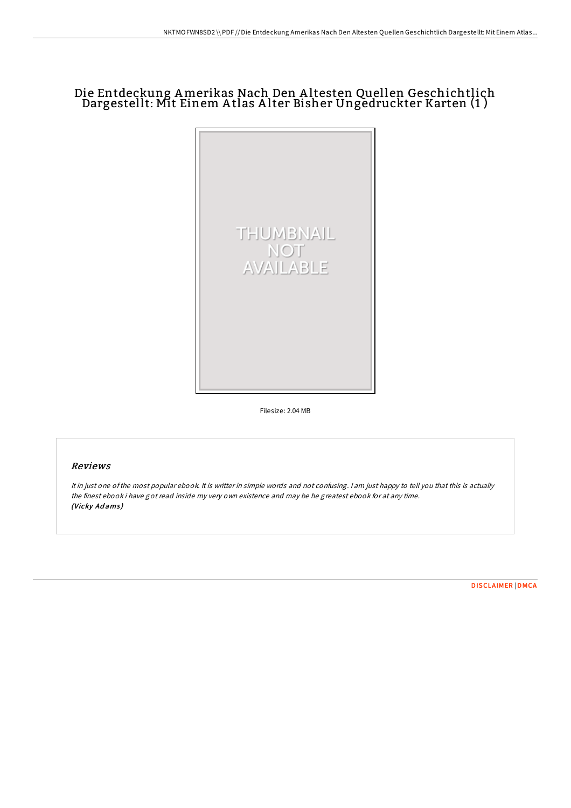## Die Entdeckung Amerikas Nach Den A ltesten Quellen Geschichtlich Dargestellt: Mit Einem A tlas A lter Bisher Ungedruckter Karten (1 )



Filesize: 2.04 MB

## Reviews

It in just one ofthe most popular ebook. It is writter in simple words and not confusing. <sup>I</sup> am just happy to tell you that this is actually the finest ebook i have got read inside my very own existence and may be he greatest ebook for at any time. (Vicky Adams)

[DISCLAIMER](http://almighty24.tech/disclaimer.html) | [DMCA](http://almighty24.tech/dmca.html)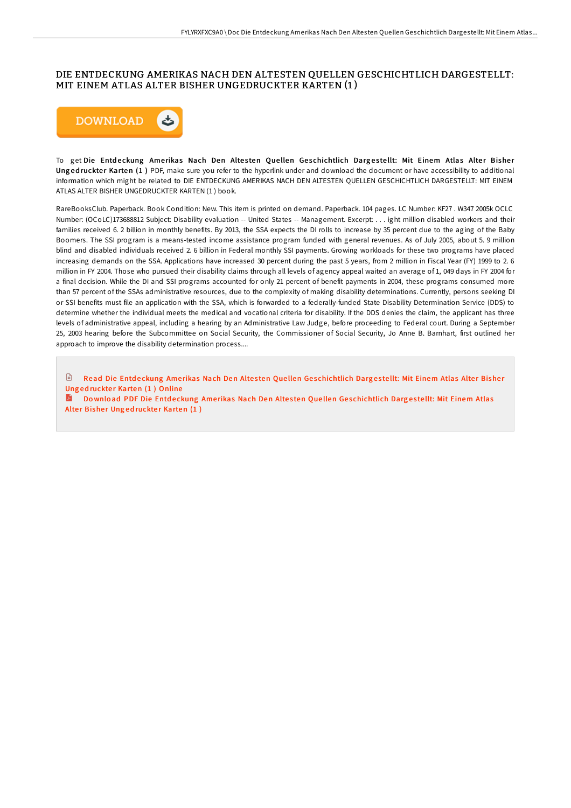## DIE ENTDECKUNG AMERIKAS NACH DEN ALTESTEN QUELLEN GESCHICHTLICH DARGESTELLT: MIT EINEM ATLAS ALTER BISHER UNGEDRUCKTER KARTEN (1 )



To get Die Entdeckung Amerikas Nach Den Altesten Quellen Geschichtlich Dargestellt: Mit Einem Atlas Alter Bisher Ung ed ruckter Karten (1) PDF, make sure you refer to the hyperlink under and download the document or have accessibility to additional information which might be related to DIE ENTDECKUNG AMERIKAS NACH DEN ALTESTEN QUELLEN GESCHICHTLICH DARGESTELLT: MIT EINEM ATLAS ALTER BISHER UNGEDRUCKTER KARTEN (1 ) book.

RareBooksClub. Paperback. Book Condition: New. This item is printed on demand. Paperback. 104 pages. LC Number: KF27 . W347 2005k OCLC Number: (OCoLC)173688812 Subject: Disability evaluation -- United States -- Management. Excerpt: . . . ight million disabled workers and their families received 6. 2 billion in monthly benefits. By 2013, the SSA expects the DI rolls to increase by 35 percent due to the aging of the Baby Boomers. The SSI program is a means-tested income assistance program funded with general revenues. As of July 2005, about 5. 9 million blind and disabled individuals received 2. 6 billion in Federal monthly SSI payments. Growing workloads for these two programs have placed increasing demands on the SSA. Applications have increased 30 percent during the past 5 years, from 2 million in Fiscal Year (FY) 1999 to 2. 6 million in FY 2004. Those who pursued their disability claims through all levels of agency appeal waited an average of 1, 049 days in FY 2004 for a final decision. While the DI and SSI programs accounted for only 21 percent of benefit payments in 2004, these programs consumed more than 57 percent of the SSAs administrative resources, due to the complexity of making disability determinations. Currently, persons seeking DI or SSI benefits must file an application with the SSA, which is forwarded to a federally-funded State Disability Determination Service (DDS) to determine whether the individual meets the medical and vocational criteria for disability. If the DDS denies the claim, the applicant has three levels of administrative appeal, including a hearing by an Administrative Law Judge, before proceeding to Federal court. During a September 25, 2003 hearing before the Subcommittee on Social Security, the Commissioner of Social Security, Jo Anne B. Barnhart, first outlined her approach to improve the disability determination process....

 $\mathbb{R}$ Read Die Entdeckung Amerikas Nach Den Altesten Quellen Ges[chichtlich](http://almighty24.tech/die-entdeckung-amerikas-nach-den-altesten-quelle.html) Dargestellt: Mit Einem Atlas Alter Bisher Ung ed ruckter Karten (1) Online

Download PDF Die Entdeckung Amerikas Nach Den Altesten Quellen Ges[chichtlich](http://almighty24.tech/die-entdeckung-amerikas-nach-den-altesten-quelle.html) Dargestellt: Mit Einem Atlas Alter Bisher Ungedruckter Karten (1)